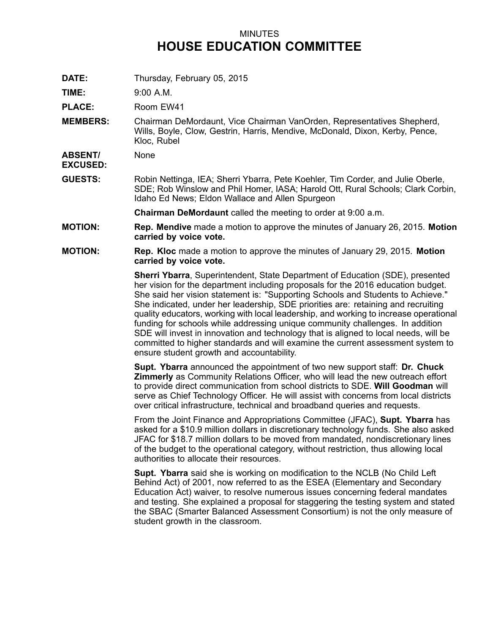## MINUTES **HOUSE EDUCATION COMMITTEE**

**DATE:** Thursday, February 05, 2015

**TIME:** 9:00 A.M.

PLACE: Room EW41

**MEMBERS:** Chairman DeMordaunt, Vice Chairman VanOrden, Representatives Shepherd, Wills, Boyle, Clow, Gestrin, Harris, Mendive, McDonald, Dixon, Kerby, Pence, Kloc, Rubel

**ABSENT/** None

**EXCUSED:**

**GUESTS:** Robin Nettinga, IEA; Sherri Ybarra, Pete Koehler, Tim Corder, and Julie Oberle, SDE; Rob Winslow and Phil Homer, IASA; Harold Ott, Rural Schools; Clark Corbin, Idaho Ed News; Eldon Wallace and Allen Spurgeon

**Chairman DeMordaunt** called the meeting to order at 9:00 a.m.

- **MOTION: Rep. Mendive** made <sup>a</sup> motion to approve the minutes of January 26, 2015. **Motion carried by voice vote.**
- **MOTION: Rep. Kloc** made <sup>a</sup> motion to approve the minutes of January 29, 2015. **Motion carried by voice vote.**

**Sherri Ybarra**, Superintendent, State Department of Education (SDE), presented her vision for the department including proposals for the 2016 education budget. She said her vision statement is: "Supporting Schools and Students to Achieve." She indicated, under her leadership, SDE priorities are: retaining and recruiting quality educators, working with local leadership, and working to increase operational funding for schools while addressing unique community challenges. In addition SDE will invest in innovation and technology that is aligned to local needs, will be committed to higher standards and will examine the current assessment system to ensure student growth and accountability.

**Supt. Ybarra** announced the appointment of two new support staff: **Dr. Chuck Zimmerly** as Community Relations Officer, who will lead the new outreach effort to provide direct communication from school districts to SDE. **Will Goodman** will serve as Chief Technology Officer. He will assist with concerns from local districts over critical infrastructure, technical and broadband queries and requests.

From the Joint Finance and Appropriations Committee (JFAC), **Supt. Ybarra** has asked for <sup>a</sup> \$10.9 million dollars in discretionary technology funds. She also asked JFAC for \$18.7 million dollars to be moved from mandated, nondiscretionary lines of the budget to the operational category, without restriction, thus allowing local authorities to allocate their resources.

**Supt. Ybarra** said she is working on modification to the NCLB (No Child Left Behind Act) of 2001, now referred to as the ESEA (Elementary and Secondary Education Act) waiver, to resolve numerous issues concerning federal mandates and testing. She explained <sup>a</sup> proposal for staggering the testing system and stated the SBAC (Smarter Balanced Assessment Consortium) is not the only measure of student growth in the classroom.